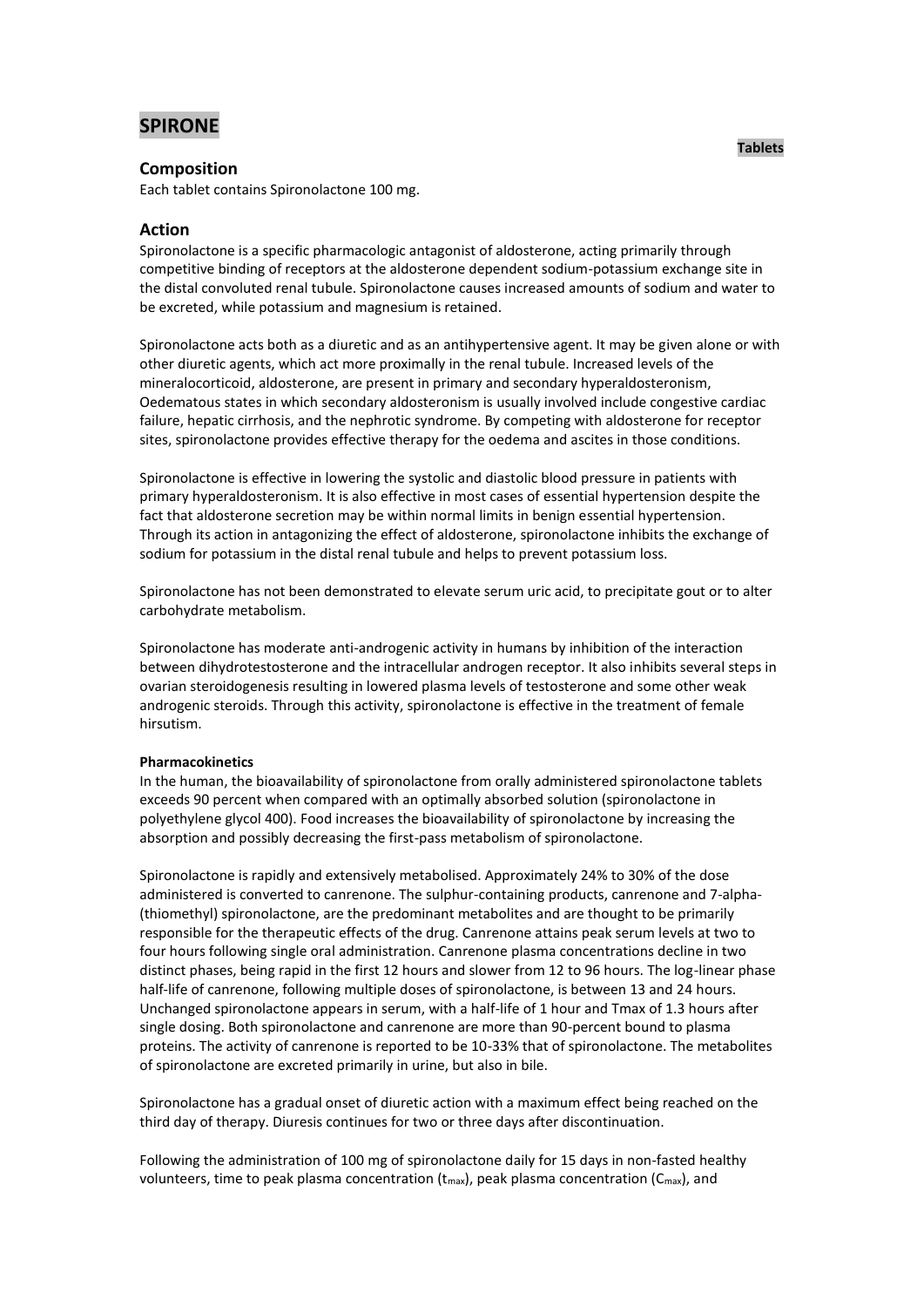# **SPIRONE**

## **Composition**

Each tablet contains Spironolactone 100 mg.

# **Action**

Spironolactone is a specific pharmacologic antagonist of aldosterone, acting primarily through competitive binding of receptors at the aldosterone dependent sodium-potassium exchange site in the distal convoluted renal tubule. Spironolactone causes increased amounts of sodium and water to be excreted, while potassium and magnesium is retained.

Spironolactone acts both as a diuretic and as an antihypertensive agent. It may be given alone or with other diuretic agents, which act more proximally in the renal tubule. Increased levels of the mineralocorticoid, aldosterone, are present in primary and secondary hyperaldosteronism, Oedematous states in which secondary aldosteronism is usually involved include congestive cardiac failure, hepatic cirrhosis, and the nephrotic syndrome. By competing with aldosterone for receptor sites, spironolactone provides effective therapy for the oedema and ascites in those conditions.

Spironolactone is effective in lowering the systolic and diastolic blood pressure in patients with primary hyperaldosteronism. It is also effective in most cases of essential hypertension despite the fact that aldosterone secretion may be within normal limits in benign essential hypertension. Through its action in antagonizing the effect of aldosterone, spironolactone inhibits the exchange of sodium for potassium in the distal renal tubule and helps to prevent potassium loss.

Spironolactone has not been demonstrated to elevate serum uric acid, to precipitate gout or to alter carbohydrate metabolism.

Spironolactone has moderate anti-androgenic activity in humans by inhibition of the interaction between dihydrotestosterone and the intracellular androgen receptor. It also inhibits several steps in ovarian steroidogenesis resulting in lowered plasma levels of testosterone and some other weak androgenic steroids. Through this activity, spironolactone is effective in the treatment of female hirsutism.

### **Pharmacokinetics**

In the human, the bioavailability of spironolactone from orally administered spironolactone tablets exceeds 90 percent when compared with an optimally absorbed solution (spironolactone in polyethylene glycol 400). Food increases the bioavailability of spironolactone by increasing the absorption and possibly decreasing the first-pass metabolism of spironolactone.

Spironolactone is rapidly and extensively metabolised. Approximately 24% to 30% of the dose administered is converted to canrenone. The sulphur-containing products, canrenone and 7-alpha- (thiomethyl) spironolactone, are the predominant metabolites and are thought to be primarily responsible for the therapeutic effects of the drug. Canrenone attains peak serum levels at two to four hours following single oral administration. Canrenone plasma concentrations decline in two distinct phases, being rapid in the first 12 hours and slower from 12 to 96 hours. The log-linear phase half-life of canrenone, following multiple doses of spironolactone, is between 13 and 24 hours. Unchanged spironolactone appears in serum, with a half-life of 1 hour and Tmax of 1.3 hours after single dosing. Both spironolactone and canrenone are more than 90-percent bound to plasma proteins. The activity of canrenone is reported to be 10-33% that of spironolactone. The metabolites of spironolactone are excreted primarily in urine, but also in bile.

Spironolactone has a gradual onset of diuretic action with a maximum effect being reached on the third day of therapy. Diuresis continues for two or three days after discontinuation.

Following the administration of 100 mg of spironolactone daily for 15 days in non-fasted healthy volunteers, time to peak plasma concentration ( $t_{\text{max}}$ ), peak plasma concentration ( $C_{\text{max}}$ ), and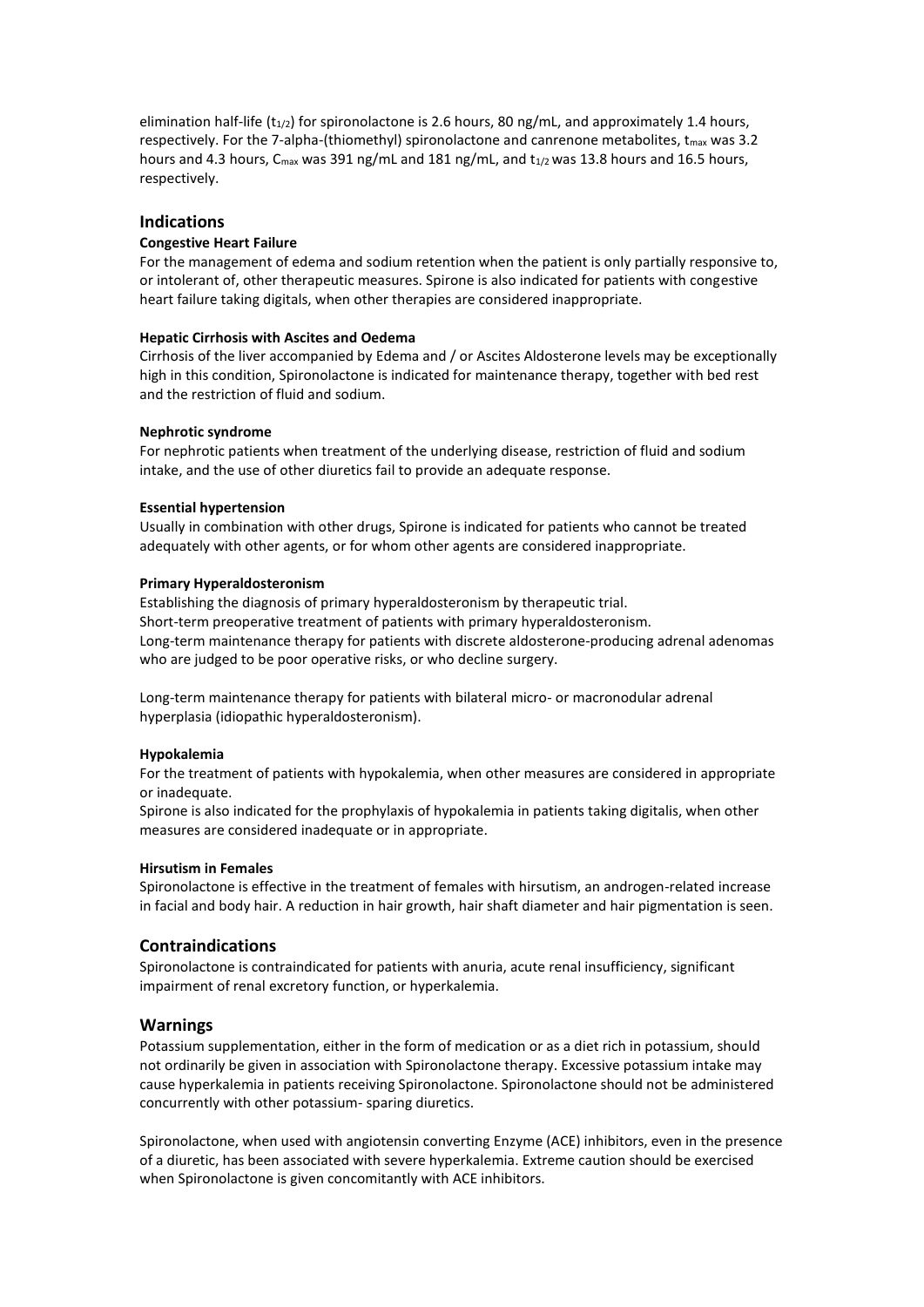elimination half-life ( $t_{1/2}$ ) for spironolactone is 2.6 hours, 80 ng/mL, and approximately 1.4 hours, respectively. For the 7-alpha-(thiomethyl) spironolactone and canrenone metabolites, t<sub>max</sub> was 3.2 hours and 4.3 hours,  $C_{\text{max}}$  was 391 ng/mL and 181 ng/mL, and  $t_{1/2}$  was 13.8 hours and 16.5 hours, respectively.

### **Indications**

### **Congestive Heart Failure**

For the management of edema and sodium retention when the patient is only partially responsive to, or intolerant of, other therapeutic measures. Spirone is also indicated for patients with congestive heart failure taking digitals, when other therapies are considered inappropriate.

### **Hepatic Cirrhosis with Ascites and Oedema**

Cirrhosis of the liver accompanied by Edema and / or Ascites Aldosterone levels may be exceptionally high in this condition, Spironolactone is indicated for maintenance therapy, together with bed rest and the restriction of fluid and sodium.

### **Nephrotic syndrome**

For nephrotic patients when treatment of the underlying disease, restriction of fluid and sodium intake, and the use of other diuretics fail to provide an adequate response.

### **Essential hypertension**

Usually in combination with other drugs, Spirone is indicated for patients who cannot be treated adequately with other agents, or for whom other agents are considered inappropriate.

### **Primary Hyperaldosteronism**

Establishing the diagnosis of primary hyperaldosteronism by therapeutic trial. Short-term preoperative treatment of patients with primary hyperaldosteronism. Long-term maintenance therapy for patients with discrete aldosterone-producing adrenal adenomas who are judged to be poor operative risks, or who decline surgery.

Long-term maintenance therapy for patients with bilateral micro- or macronodular adrenal hyperplasia (idiopathic hyperaldosteronism).

### **Hypokalemia**

For the treatment of patients with hypokalemia, when other measures are considered in appropriate or inadequate.

Spirone is also indicated for the prophylaxis of hypokalemia in patients taking digitalis, when other measures are considered inadequate or in appropriate.

### **Hirsutism in Females**

Spironolactone is effective in the treatment of females with hirsutism, an androgen-related increase in facial and body hair. A reduction in hair growth, hair shaft diameter and hair pigmentation is seen.

# **Contraindications**

Spironolactone is contraindicated for patients with anuria, acute renal insufficiency, significant impairment of renal excretory function, or hyperkalemia.

### **Warnings**

Potassium supplementation, either in the form of medication or as a diet rich in potassium, should not ordinarily be given in association with Spironolactone therapy. Excessive potassium intake may cause hyperkalemia in patients receiving Spironolactone. Spironolactone should not be administered concurrently with other potassium- sparing diuretics.

Spironolactone, when used with angiotensin converting Enzyme (ACE) inhibitors, even in the presence of a diuretic, has been associated with severe hyperkalemia. Extreme caution should be exercised when Spironolactone is given concomitantly with ACE inhibitors.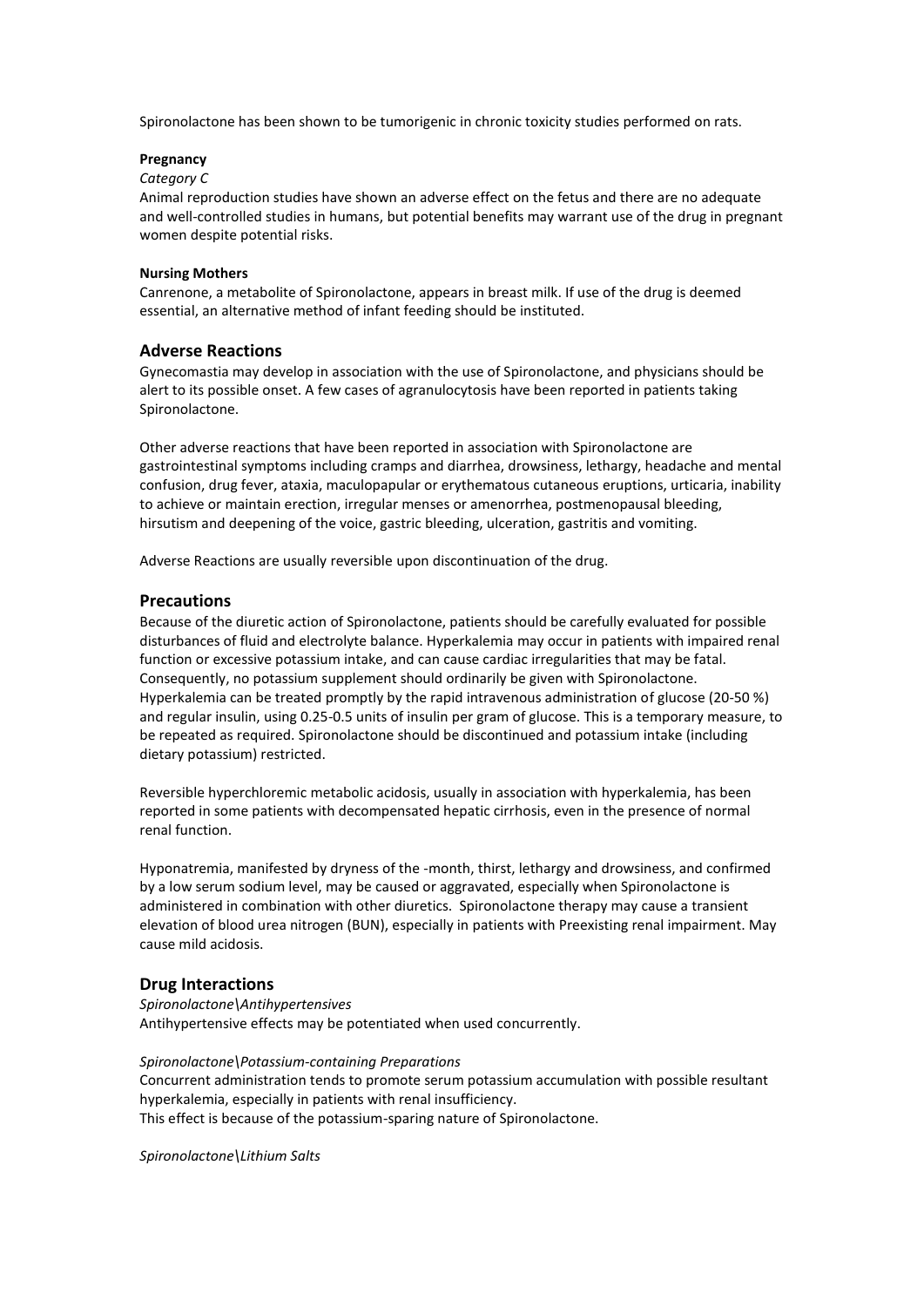Spironolactone has been shown to be tumorigenic in chronic toxicity studies performed on rats.

### **Pregnancy**

### *Category C*

Animal reproduction studies have shown an adverse effect on the fetus and there are no adequate and well-controlled studies in humans, but potential benefits may warrant use of the drug in pregnant women despite potential risks.

### **Nursing Mothers**

Canrenone, a metabolite of Spironolactone, appears in breast milk. If use of the drug is deemed essential, an alternative method of infant feeding should be instituted.

# **Adverse Reactions**

Gynecomastia may develop in association with the use of Spironolactone, and physicians should be alert to its possible onset. A few cases of agranulocytosis have been reported in patients taking Spironolactone.

Other adverse reactions that have been reported in association with Spironolactone are gastrointestinal symptoms including cramps and diarrhea, drowsiness, lethargy, headache and mental confusion, drug fever, ataxia, maculopapular or erythematous cutaneous eruptions, urticaria, inability to achieve or maintain erection, irregular menses or amenorrhea, postmenopausal bleeding, hirsutism and deepening of the voice, gastric bleeding, ulceration, gastritis and vomiting.

Adverse Reactions are usually reversible upon discontinuation of the drug.

### **Precautions**

Because of the diuretic action of Spironolactone, patients should be carefully evaluated for possible disturbances of fluid and electrolyte balance. Hyperkalemia may occur in patients with impaired renal function or excessive potassium intake, and can cause cardiac irregularities that may be fatal. Consequently, no potassium supplement should ordinarily be given with Spironolactone. Hyperkalemia can be treated promptly by the rapid intravenous administration of glucose (20-50 %) and regular insulin, using 0.25-0.5 units of insulin per gram of glucose. This is a temporary measure, to be repeated as required. Spironolactone should be discontinued and potassium intake (including dietary potassium) restricted.

Reversible hyperchloremic metabolic acidosis, usually in association with hyperkalemia, has been reported in some patients with decompensated hepatic cirrhosis, even in the presence of normal renal function.

Hyponatremia, manifested by dryness of the -month, thirst, lethargy and drowsiness, and confirmed by a low serum sodium level, may be caused or aggravated, especially when Spironolactone is administered in combination with other diuretics. Spironolactone therapy may cause a transient elevation of blood urea nitrogen (BUN), especially in patients with Preexisting renal impairment. May cause mild acidosis.

### **Drug Interactions**

*Spironolactone\Antihypertensives* Antihypertensive effects may be potentiated when used concurrently.

*Spironolactone\Potassium-containing Preparations*

Concurrent administration tends to promote serum potassium accumulation with possible resultant hyperkalemia, especially in patients with renal insufficiency. This effect is because of the potassium-sparing nature of Spironolactone.

*Spironolactone\Lithium Salts*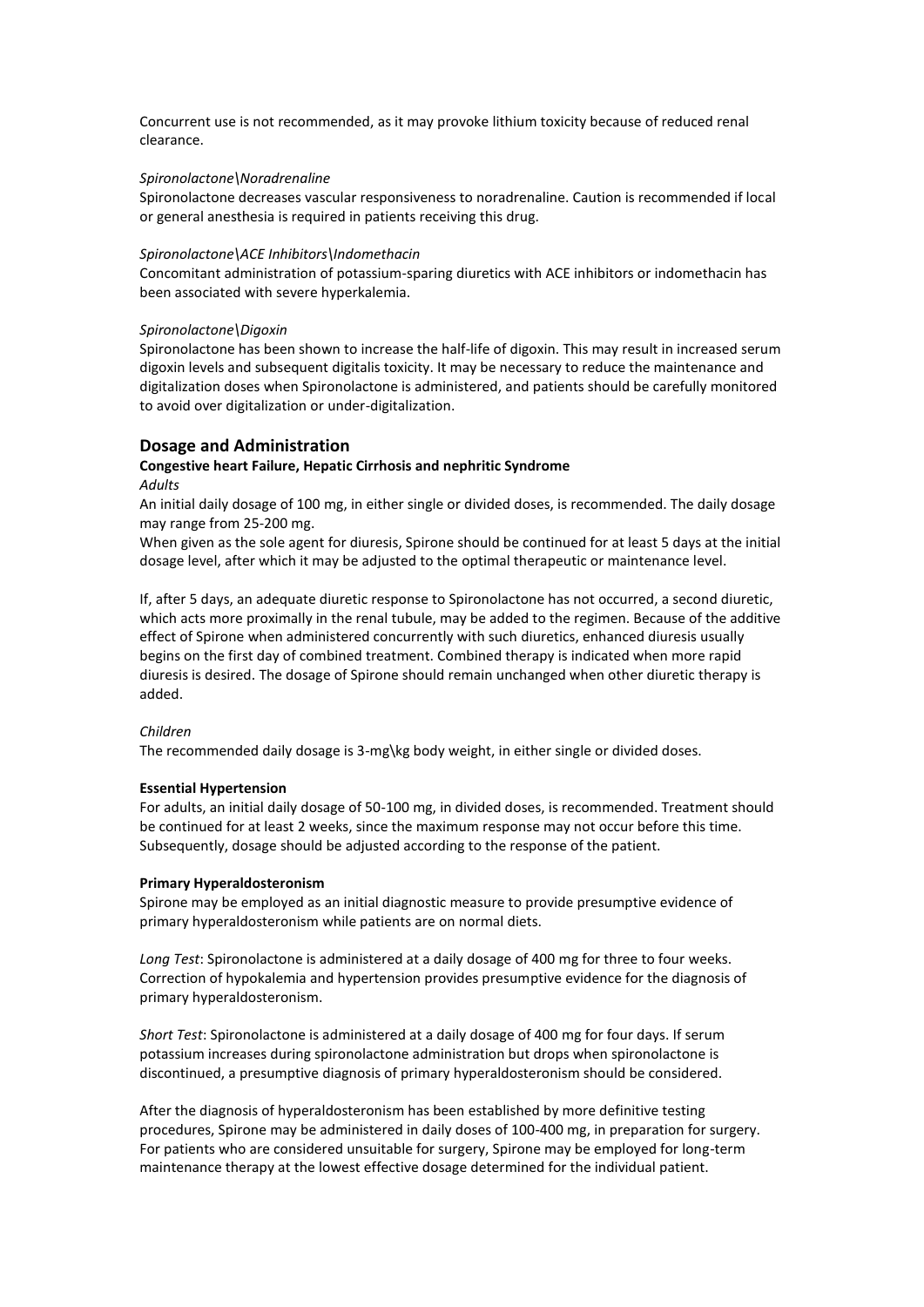Concurrent use is not recommended, as it may provoke lithium toxicity because of reduced renal clearance.

### *Spironolactone\Noradrenaline*

Spironolactone decreases vascular responsiveness to noradrenaline. Caution is recommended if local or general anesthesia is required in patients receiving this drug.

#### *Spironolactone\ACE Inhibitors\Indomethacin*

Concomitant administration of potassium-sparing diuretics with ACE inhibitors or indomethacin has been associated with severe hyperkalemia.

#### *Spironolactone\Digoxin*

Spironolactone has been shown to increase the half-life of digoxin. This may result in increased serum digoxin levels and subsequent digitalis toxicity. It may be necessary to reduce the maintenance and digitalization doses when Spironolactone is administered, and patients should be carefully monitored to avoid over digitalization or under-digitalization.

### **Dosage and Administration**

### **Congestive heart Failure, Hepatic Cirrhosis and nephritic Syndrome**  *Adults*

An initial daily dosage of 100 mg, in either single or divided doses, is recommended. The daily dosage may range from 25-200 mg.

When given as the sole agent for diuresis, Spirone should be continued for at least 5 days at the initial dosage level, after which it may be adjusted to the optimal therapeutic or maintenance level.

If, after 5 days, an adequate diuretic response to Spironolactone has not occurred, a second diuretic, which acts more proximally in the renal tubule, may be added to the regimen. Because of the additive effect of Spirone when administered concurrently with such diuretics, enhanced diuresis usually begins on the first day of combined treatment. Combined therapy is indicated when more rapid diuresis is desired. The dosage of Spirone should remain unchanged when other diuretic therapy is added.

### *Children*

The recommended daily dosage is 3-mg\kg body weight, in either single or divided doses.

#### **Essential Hypertension**

For adults, an initial daily dosage of 50-100 mg, in divided doses, is recommended. Treatment should be continued for at least 2 weeks, since the maximum response may not occur before this time. Subsequently, dosage should be adjusted according to the response of the patient.

#### **Primary Hyperaldosteronism**

Spirone may be employed as an initial diagnostic measure to provide presumptive evidence of primary hyperaldosteronism while patients are on normal diets.

*Long Test*: Spironolactone is administered at a daily dosage of 400 mg for three to four weeks. Correction of hypokalemia and hypertension provides presumptive evidence for the diagnosis of primary hyperaldosteronism.

*Short Test*: Spironolactone is administered at a daily dosage of 400 mg for four days. If serum potassium increases during spironolactone administration but drops when spironolactone is discontinued, a presumptive diagnosis of primary hyperaldosteronism should be considered.

After the diagnosis of hyperaldosteronism has been established by more definitive testing procedures, Spirone may be administered in daily doses of 100-400 mg, in preparation for surgery. For patients who are considered unsuitable for surgery, Spirone may be employed for long-term maintenance therapy at the lowest effective dosage determined for the individual patient.